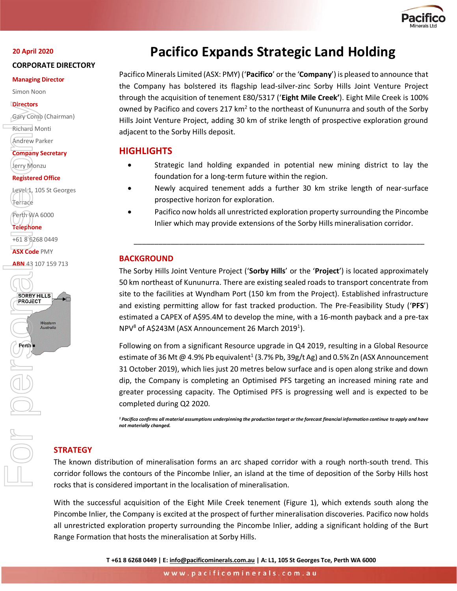

#### **20 April 2020**

#### **CORPORATE DIRECTORY**

#### **Managing Director**

Simon Noon

#### **Directors**

Gary Comb (Chairman)

Richard Monti

```
Andrew Parker
```
**Company Secretary** Jerry Monzu

### **Registered Office**

Level 1, 105 St Georges Terrace

Perth WA 6000

**Telephone**

+61 8 6268 0449

**ASX Code** PMY

ABN 43 107 159 713



# **Pacifico Expands Strategic Land Holding**

Pacifico Minerals Limited (ASX: PMY) ('**Pacifico**' or the '**Company**') is pleased to announce that the Company has bolstered its flagship lead-silver-zinc Sorby Hills Joint Venture Project through the acquisition of tenement E80/5317 ('**Eight Mile Creek'**). Eight Mile Creek is 100% owned by Pacifico and covers 217 km<sup>2</sup> to the northeast of Kununurra and south of the Sorby Hills Joint Venture Project, adding 30 km of strike length of prospective exploration ground adjacent to the Sorby Hills deposit.

## **HIGHLIGHTS**

- Strategic land holding expanded in potential new mining district to lay the foundation for a long-term future within the region.
- Newly acquired tenement adds a further 30 km strike length of near-surface prospective horizon for exploration.
- Pacifico now holds all unrestricted exploration property surrounding the Pincombe Inlier which may provide extensions of the Sorby Hills mineralisation corridor.

\_\_\_\_\_\_\_\_\_\_\_\_\_\_\_\_\_\_\_\_\_\_\_\_\_\_\_\_\_\_\_\_\_\_\_\_\_\_\_\_\_\_\_\_\_\_\_\_\_\_\_\_\_\_\_\_\_\_\_\_\_\_\_\_\_\_\_\_\_\_\_

## **BACKGROUND**

The Sorby Hills Joint Venture Project ('**Sorby Hills**' or the '**Project**') is located approximately 50 km northeast of Kununurra. There are existing sealed roads to transport concentrate from site to the facilities at Wyndham Port (150 km from the Project). Established infrastructure and existing permitting allow for fast tracked production. The Pre-Feasibility Study ('**PFS**') estimated a CAPEX of A\$95.4M to develop the mine, with a 16-month payback and a pre-tax  $NPV^8$  of A\$243M (ASX Announcement 26 March 2019<sup>1</sup>).

Following on from a significant Resource upgrade in Q4 2019, resulting in a Global Resource estimate of 36 Mt @ 4.9% Pb equivalent<sup>1</sup> (3.7% Pb, 39g/t Ag) and 0.5% Zn (ASX Announcement 31 October 2019), which lies just 20 metres below surface and is open along strike and down dip, the Company is completing an Optimised PFS targeting an increased mining rate and greater processing capacity. The Optimised PFS is progressing well and is expected to be completed during Q2 2020.

*<sup>1</sup>Pacifico confirms all material assumptions underpinning the production target or the forecast financial information continue to apply and have not materially changed.* 

## **STRATEGY**

The known distribution of mineralisation forms an arc shaped corridor with a rough north-south trend. This corridor follows the contours of the Pincombe Inlier, an island at the time of deposition of the Sorby Hills host rocks that is considered important in the localisation of mineralisation.

With the successful acquisition of the Eight Mile Creek tenement (Figure 1), which extends south along the Pincombe Inlier, the Company is excited at the prospect of further mineralisation discoveries. Pacifico now holds all unrestricted exploration property surrounding the Pincombe Inlier, adding a significant holding of the Burt Range Formation that hosts the mineralisation at Sorby Hills.

**T +61 8 6268 0449 | E[: info@pacificominerals.com.au](mailto:info@pacificominerals.com.au) | A: L1, 105 St Georges Tce, Perth WA 6000**

www.pacificominerals.com.au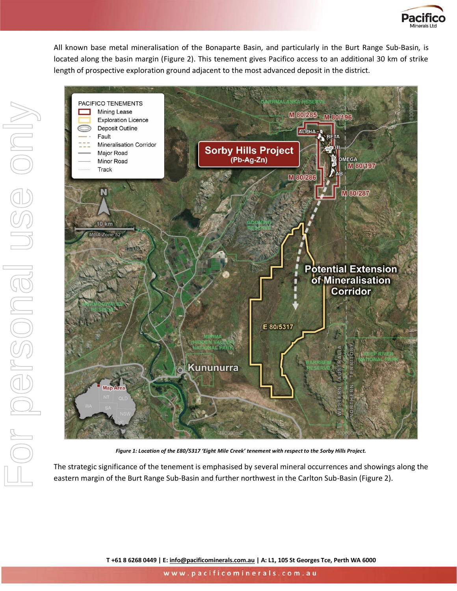

All known base metal mineralisation of the Bonaparte Basin, and particularly in the Burt Range Sub-Basin, is located along the basin margin (Figure 2). This tenement gives Pacifico access to an additional 30 km of strike length of prospective exploration ground adjacent to the most advanced deposit in the district.



*Figure 1: Location of the E80/5317 'Eight Mile Creek' tenement with respect to the Sorby Hills Project.*

The strategic significance of the tenement is emphasised by several mineral occurrences and showings along the eastern margin of the Burt Range Sub-Basin and further northwest in the Carlton Sub-Basin (Figure 2).

**T +61 8 6268 0449 | E[: info@pacificominerals.com.au](mailto:info@pacificominerals.com.au) | A: L1, 105 St Georges Tce, Perth WA 6000**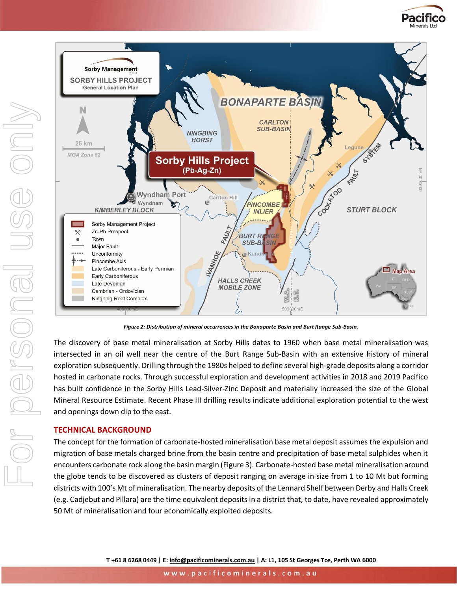



*Figure 2: Distribution of mineral occurrences in the Bonaparte Basin and Burt Range Sub-Basin.*

The discovery of base metal mineralisation at Sorby Hills dates to 1960 when base metal mineralisation was intersected in an oil well near the centre of the Burt Range Sub-Basin with an extensive history of mineral exploration subsequently. Drilling through the 1980s helped to define several high-grade deposits along a corridor hosted in carbonate rocks. Through successful exploration and development activities in 2018 and 2019 Pacifico has built confidence in the Sorby Hills Lead-Silver-Zinc Deposit and materially increased the size of the Global Mineral Resource Estimate. Recent Phase III drilling results indicate additional exploration potential to the west and openings down dip to the east.

#### **TECHNICAL BACKGROUND**

The concept for the formation of carbonate-hosted mineralisation base metal deposit assumes the expulsion and migration of base metals charged brine from the basin centre and precipitation of base metal sulphides when it encounters carbonate rock along the basin margin (Figure 3). Carbonate-hosted base metal mineralisation around the globe tends to be discovered as clusters of deposit ranging on average in size from 1 to 10 Mt but forming districts with 100's Mt of mineralisation. The nearby deposits of the Lennard Shelf between Derby and Halls Creek (e.g. Cadjebut and Pillara) are the time equivalent deposits in a district that, to date, have revealed approximately 50 Mt of mineralisation and four economically exploited deposits.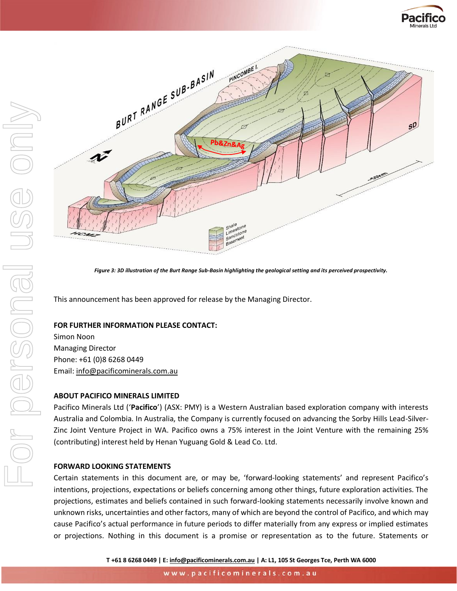



*Figure 3: 3D illustration of the Burt Range Sub-Basin highlighting the geological setting and its perceived prospectivity.*

This announcement has been approved for release by the Managing Director.

#### **FOR FURTHER INFORMATION PLEASE CONTACT:**

Simon Noon Managing Director Phone: +61 (0)8 6268 0449 Email: [info@pacificominerals.com.au](mailto:info@pacificominerals.com.au)

#### **ABOUT PACIFICO MINERALS LIMITED**

Pacifico Minerals Ltd ('**Pacifico**') (ASX: PMY) is a Western Australian based exploration company with interests Australia and Colombia. In Australia, the Company is currently focused on advancing the Sorby Hills Lead-Silver-Zinc Joint Venture Project in WA. Pacifico owns a 75% interest in the Joint Venture with the remaining 25% (contributing) interest held by Henan Yuguang Gold & Lead Co. Ltd.

#### **FORWARD LOOKING STATEMENTS**

Certain statements in this document are, or may be, 'forward-looking statements' and represent Pacifico's intentions, projections, expectations or beliefs concerning among other things, future exploration activities. The projections, estimates and beliefs contained in such forward-looking statements necessarily involve known and unknown risks, uncertainties and other factors, many of which are beyond the control of Pacifico, and which may cause Pacifico's actual performance in future periods to differ materially from any express or implied estimates or projections. Nothing in this document is a promise or representation as to the future. Statements or